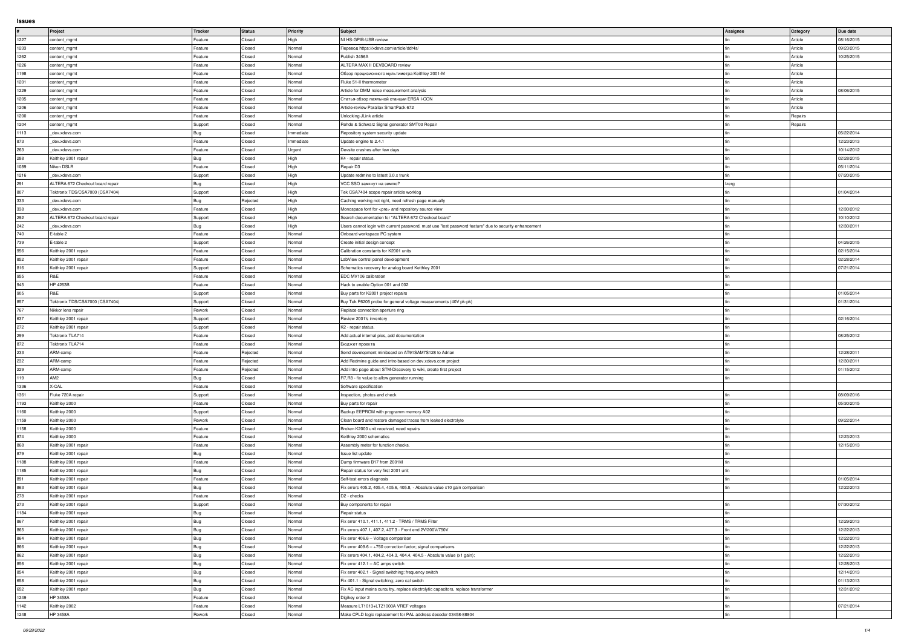## **Issues**

|                                            | Project                          | Tracker           | Status           | <b>Priority</b>  | Subject                                                                                                  | Assignee | Category | Due date   |
|--------------------------------------------|----------------------------------|-------------------|------------------|------------------|----------------------------------------------------------------------------------------------------------|----------|----------|------------|
| 1227                                       | content_mgmt                     | Feature           | Closed           | High             | NI HS-GPIB-USB review                                                                                    |          | Article  | 08/16/2015 |
| 1233                                       | content_mgmt                     | Feature           | Closed           | Normal           | Перевод https://xdevs.com/article/ddr4s/                                                                 |          | Article  | 09/23/2015 |
| 1262                                       | content_mgmt                     | Feature           | Closed           | Normal           | Publish 3456A                                                                                            |          | Article  | 10/25/2015 |
| 1226                                       | content_mgmt                     | Feature           | Closed           | Normal           | ALTERA MAX II DEVBOARD review                                                                            |          | Article  |            |
| 1198                                       | content_mgmt                     | Feature           | Closed           | Normal           | Обзор прецизионного мультиметра Keithley 2001-M                                                          |          | Article  |            |
| 1201                                       | content_mgmt                     | Feature           | Closed           | Normal           | Fluke 51-II thermometer                                                                                  |          | Article  |            |
| 1229                                       | content_mgmt                     | Feature           | Closed           | Normal           | Article for DMM noise measurement analysis                                                               |          | Article  | 08/06/2015 |
|                                            |                                  |                   | Closed           |                  |                                                                                                          |          | Article  |            |
| 1205                                       | content_mgmt                     | Feature           |                  | Normal           | Статья-обзор паяльной станции ERSA I-CON                                                                 |          |          |            |
| 1206                                       | content_mgmt                     | Feature           | Closed           | Normal           | Article-review Parallax SmartPack 672                                                                    |          | Article  |            |
| 1200                                       | content_mgmt                     | Feature           | Closed           | Normal           | Unlocking JLink article                                                                                  |          | Repairs  |            |
| 1204                                       | content_mgmt                     | Support           | Closed           | Normal           | Rohde & Schwarz Signal generator SMT03 Repair                                                            |          | Repairs  |            |
| 1113                                       | dev.xdevs.com                    | Bug               | Closed           | Immediate        | Repository system security update                                                                        |          |          | 05/22/2014 |
| 873                                        | dev.xdevs.com                    | Feature           | Closed           | Immediate        | Update engine to 2.4.1                                                                                   |          |          | 12/23/2013 |
| 263                                        | dev.xdevs.com                    | Feature           | Closed           | Urgent           | Devsite crashes after few days                                                                           |          |          | 10/14/2012 |
| 288                                        | Keithley 2001 repair             | Bug               | Closed           | High             | K4 - repair status.                                                                                      |          |          | 02/28/2015 |
| 1089                                       | Nikon DSLR                       | Feature           | Closed           | High             | Repair D3                                                                                                |          |          | 05/11/2014 |
| 1216                                       | dev.xdevs.com                    | Support           | Closed           | High             | Update redmine to latest 3.0.x trunk                                                                     |          |          | 07/20/2015 |
| 291                                        | ALTERA 672 Checkout board repair | Bug               | Closed           | High             | VCC SSO замкнут на землю?                                                                                | Izerg    |          |            |
| 807                                        | Tektronix TDS/CSA7000 (CSA7404)  | Support           | Closed           | High             | Tek CSA7404 scope repair article worklog                                                                 |          |          | 01/04/2014 |
| 333                                        | dev.xdevs.com                    | Bug               | Rejected         | High             | Caching working not right, need refresh page manually                                                    |          |          |            |
| 338                                        | dev.xdevs.com                    | Feature           | Closed           | High             | Monospace font for <pre> and repository source view</pre>                                                |          |          | 12/30/2012 |
| 292                                        | ALTERA 672 Checkout board repair | Support           | Closed           | High             | Search documentation for "ALTERA 672 Checkout board"                                                     |          |          | 10/10/2012 |
|                                            |                                  |                   |                  |                  |                                                                                                          |          |          |            |
| 242                                        | dev.xdevs.com                    | Bug               | Closed           | High             | Users cannot login with current password, must use "lost password feature" due to security enhancement   |          |          | 12/30/2011 |
| 740                                        | E-table 2                        | Feature           | Closed           | Normal           | Onboard workspace PC system                                                                              |          |          |            |
| 739                                        | E-table 2                        | Support           | Closed           | Normal           | Create initial design concept                                                                            |          |          | 04/26/2015 |
| 956                                        | Keithley 2001 repair             | Feature           | Closed           | Normal           | Calibration constants for K2001 units                                                                    |          |          | 02/15/2014 |
| 852                                        | Keithley 2001 repair             | Feature           | Closed           | Normal           | LabView control panel development                                                                        |          |          | 02/28/2014 |
| 816                                        | Keithley 2001 repair             | Support           | Closed           | Normal           | Schematics recovery for analog board Keithley 2001                                                       |          |          | 07/21/2014 |
| 955                                        | R&E                              | Feature           | Closed           | Normal           | EDC MV106 calibration                                                                                    |          |          |            |
| 945                                        | HP 4263B                         | Feature           | Closed           | Normal           | Hack to enable Option 001 and 002                                                                        |          |          |            |
| 905                                        | R&E                              | Support           | Closed           | Normal           | Buy parts for K2001 project repairs                                                                      |          |          | 01/05/2014 |
| 857                                        | Tektronix TDS/CSA7000 (CSA7404)  | Support           | Closed           | Normal           | Buy Tek P6205 probe for general voltage measurements (40V pk-pk)                                         |          |          | 01/31/2014 |
| 767                                        | Nikkor lens repair               | Rework            | Closed           | Normal           | Replace connection aperture ring                                                                         |          |          |            |
| 637                                        | Keithley 2001 repair             | Support           | Closed           | Normal           | Review 2001's inventory                                                                                  |          |          | 02/16/2014 |
|                                            |                                  |                   |                  |                  |                                                                                                          |          |          |            |
|                                            |                                  |                   |                  |                  |                                                                                                          |          |          |            |
|                                            | Keithley 2001 repair             | Support           | Closed           | Normal           | K2 - repair status.                                                                                      |          |          |            |
| 272<br>299                                 | Tektronix TLA714                 | Feature           | Closed           | Normal           | Add actual internal pics, add documentation                                                              |          |          | 08/25/2012 |
| 872                                        | Tektronix TLA714                 | Feature           | Closed           | Normal           | Бюджет проекта                                                                                           |          |          |            |
| 233                                        | ARM-camp                         | Feature           | Rejected         | Normal           | Send development miniboard on AT91SAM7S128 to Adrian                                                     |          |          | 12/28/2011 |
| 232                                        | ARM-camp                         | Feature           | Rejected         | Normal           | Add Redmine guide and intro based on dev.xdevs.com project                                               |          |          | 12/30/2011 |
| 229                                        | ARM-camp                         | Feature           | Rejected         | Normal           | Add intro page about STM-Discovery to wiki, create first project                                         |          |          | 01/15/2012 |
| 119                                        | AM2                              | Bug               | Closed           | Normal           | R7, R8 - fix value to allow generator running                                                            |          |          |            |
| 1336                                       | X-CAL                            | Feature           | Closed           | Normal           | Software specification                                                                                   |          |          |            |
| 1361                                       | Fluke 720A repair                | Support           | Closed           | Normal           | Inspection, photos and check                                                                             |          |          | 08/09/2016 |
|                                            | Keithley 2000                    | Feature           | Closed           | Normal           | Buy parts for repair                                                                                     |          |          | 05/30/2015 |
|                                            | Keithley 2000                    | Support           | Closed           | Normal           | Backup EEPROM with programm memory A02                                                                   |          |          |            |
|                                            | Keithley 2000                    | Rework            | Closed           | Normal           | Clean board and restore damaged traces from leaked electrolyte                                           |          |          | 09/22/2014 |
|                                            | Keithley 2000                    | Feature           | Closed           | Normal           | Broken K2000 unit received, need repairs                                                                 |          |          |            |
|                                            | Keithley 2000                    | Feature           | Closed           | Normal           | Keithley 2000 schematics                                                                                 |          |          | 12/23/2013 |
| 1193<br>1160<br>1159<br>1158<br>874<br>868 | Keithley 2001 repair             | Feature           | Closed           | Normal           | Assembly meter for function checks.                                                                      |          |          | 12/15/2013 |
| 879                                        | Keithley 2001 repair             |                   | Closed           | Normal           | Issue list update                                                                                        |          |          |            |
| 1188                                       | Keithley 2001 repair             | Bug<br>Feature    | Closed           | Normal           | Dump firmware B17 from 2001M                                                                             |          |          |            |
|                                            |                                  |                   |                  |                  |                                                                                                          |          |          |            |
| 1185                                       | Keithley 2001 repair             | Bug               | Closed           | Normal           | Repair status for very first 2001 unit                                                                   |          |          |            |
| 891                                        | Keithley 2001 repair             | Feature           | Closed           | Normal           | Self-test errors diagnosis                                                                               |          |          | 01/05/2014 |
| 863                                        | Keithley 2001 repair             | Bug               | Closed           | Normal           | Fix errors 405.2, 405.4, 405.6, 405.8, - Absolute value x10 gain comparison                              |          |          | 12/22/2013 |
| 278                                        | Keithley 2001 repair             | Feature           | Closed           | Normal           | D <sub>2</sub> - checks                                                                                  |          |          |            |
| 273                                        | Keithley 2001 repair             | Support           | Closed           | Normal           | Buy components for repair                                                                                |          |          | 07/30/2012 |
| 1184                                       | Keithley 2001 repair             | Bug               | Closed           | Normal           | Repair status                                                                                            |          |          |            |
| 867                                        | Keithley 2001 repair             | Bug               | Closed           | Normal           | Fix error 410.1, 411.1, 411.2 - TRMS / TRMS Filter                                                       |          |          | 12/29/2013 |
|                                            | Keithley 2001 repair             | Bug               | Closed           | Normal           | Fix errors 407.1, 407.2, 407.3 - Front end 2V/200V/750V                                                  |          |          | 12/22/2013 |
| 865<br>864                                 | Keithley 2001 repair             | Bug               | Closed           | Normal           | Fix error 406.6 - Voltage comparison                                                                     |          |          | 12/22/2013 |
|                                            | Keithley 2001 repair             | Bug               | Closed           | Normal           | Fix error $409.6 - 750$ correction factor; signal comparisons                                            |          |          | 12/22/2013 |
|                                            | Keithley 2001 repair             | Bug               | Closed           | Normal           | Fix errors 404.1, 404.2, 404.3, 404.4, 404.5 - Absolute value (x1 gain);                                 |          |          | 12/22/2013 |
|                                            | Keithley 2001 repair             | Bug               | Closed           | Normal           | Fix error 412.1 - AC amps switch                                                                         |          |          | 12/28/2013 |
|                                            | Keithley 2001 repair             | Bug               | Closed           | Normal           | Fix error 402.1 - Signal switching; frequency switch                                                     |          |          | 12/14/2013 |
|                                            | Keithley 2001 repair             | Bug               | Closed           | Normal           | Fix 401.1 - Signal switching; zero cal switch                                                            |          |          | 01/13/2013 |
|                                            | Keithley 2001 repair             |                   | Closed           | Normal           |                                                                                                          |          |          | 12/31/2012 |
| 866<br>862<br>856<br>854<br>658<br>652     | HP 3458A                         | Bug               |                  | Normal           | Fix AC input mains curcuitry, replace electrolytic capacitors, replace transformer                       |          |          |            |
| 1249                                       |                                  | Feature           | Closed           |                  | Digikey order 2                                                                                          |          |          |            |
| 1142<br>1248                               | Keithley 2002<br>HP 3458A        | Feature<br>Rework | Closed<br>Closed | Normal<br>Normal | Measure LT1013+LTZ1000A VREF voltages<br>Make CPLD logic replacement for PAL address decoder 03458-88804 |          |          | 07/21/2014 |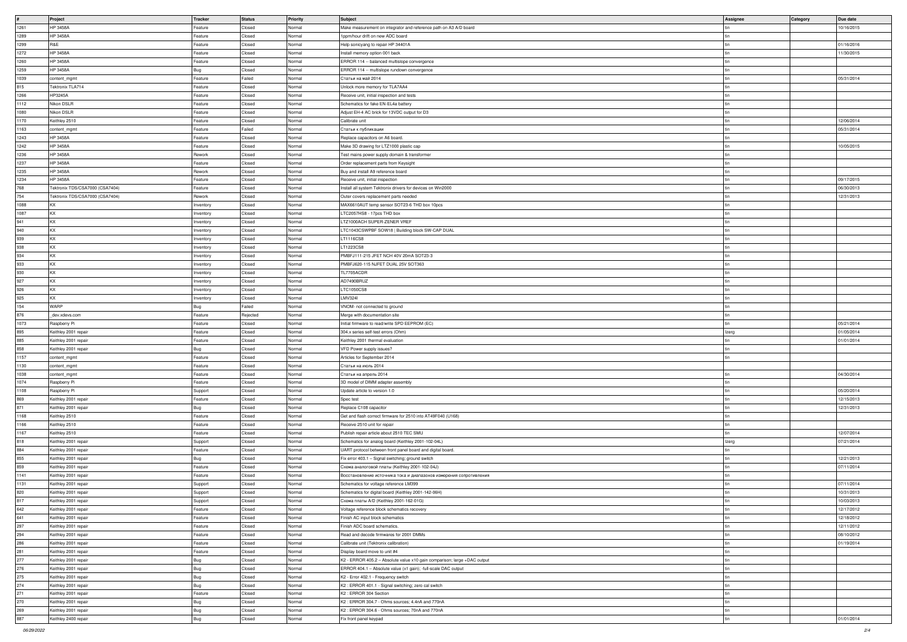|      | Project                         | Tracker   | Status   | <b>Priority</b> | Subject                                                                  | Assignee | <b>Category</b> | Due date   |
|------|---------------------------------|-----------|----------|-----------------|--------------------------------------------------------------------------|----------|-----------------|------------|
| 1261 | HP 3458A                        | Feature   | Closed   | Normal          | Make measurement on integrator and reference path on A3 A/D board        |          |                 | 10/16/2015 |
| 1289 | HP 3458A                        | Feature   | Closed   | Normal          | 1ppm/hour drift on new ADC board                                         |          |                 |            |
| 1299 | R&E                             | Feature   | Closed   | Normal          | Help sonicyang to repair HP 34401A                                       |          |                 | 01/16/2016 |
| 1272 | <b>HP 3458A</b>                 | Feature   | Closed   | Normal          | Install memory option 001 back                                           |          |                 | 11/30/2015 |
|      | HP 3458A                        | Feature   | Closed   | Normal          | ERROR 114 -- balanced multislope convergence                             |          |                 |            |
| 1260 |                                 |           |          |                 |                                                                          |          |                 |            |
| 1259 | HP 3458A                        | Bug       | Closed   | Normal          | ERROR 114 -- multislope rundown convergence                              |          |                 |            |
| 1039 | content_mgmt                    | Feature   | Failed   | Normal          | Статьи на май 2014                                                       |          |                 | 05/31/2014 |
| 815  | Tektronix TLA714                | Feature   | Closed   | Normal          | Unlock more memory for TLA7AA4                                           |          |                 |            |
| 1266 | HP3245A                         | Feature   | Closed   | Normal          | Receive unit, initial inspection and tests                               |          |                 |            |
|      | Nikon DSLR                      | Feature   | Closed   | Normal          | Schematics for fake EN-EL4a battery                                      |          |                 |            |
| 1112 |                                 |           |          |                 |                                                                          |          |                 |            |
| 1080 | Nikon DSLR                      | Feature   | Closed   | Normal          | Adjust EH-4 AC brick for 13VDC output for D3                             |          |                 |            |
| 1170 | Keithley 2510                   | Feature   | Closed   | Normal          | Calibrate unit                                                           |          |                 | 12/06/2014 |
| 1163 | content_mgmt                    | Feature   | Failed   | Normal          | Статьи к публикации                                                      |          |                 | 05/31/2014 |
| 1243 | HP 3458A                        | Feature   | Closed   | Normal          | Replace capacitors on A6 board.                                          |          |                 |            |
|      | HP 3458A                        | Feature   | Closed   | Normal          |                                                                          |          |                 | 10/05/2015 |
| 1242 |                                 |           |          |                 | Make 3D drawing for LTZ1000 plastic cap                                  |          |                 |            |
| 1236 | <b>HP 3458A</b>                 | Rework    | Closed   | Normal          | Test mains power supply domain & transformer                             |          |                 |            |
| 1237 | <b>HP 3458A</b>                 | Feature   | Closed   | Normal          | Order replacement parts from Keysight                                    |          |                 |            |
| 1235 | HP 3458A                        | Rework    | Closed   | Normal          | Buy and install A9 reference board                                       |          |                 |            |
| 1234 | HP 3458A                        | Feature   | Closed   | Normal          | Receive unit, initial inspection                                         |          |                 | 09/17/2015 |
|      |                                 | Feature   | Closed   |                 |                                                                          |          |                 | 06/30/2013 |
| 768  | Tektronix TDS/CSA7000 (CSA7404) |           |          | Normal          | Install all system Tektronix drivers for devices on Win2000              |          |                 |            |
| 754  | Tektronix TDS/CSA7000 (CSA7404) | Rework    | Closed   | Normal          | Outer covers replacement parts needed                                    |          |                 | 12/31/2013 |
| 1088 | KX                              | Inventory | Closed   | Normal          | MAX6610AUT temp sensor SOT23-6 THD box 10pcs                             |          |                 |            |
| 1087 | KX.                             | Inventory | Closed   | Normal          | LTC2057HS8 - 17pcs THD box                                               |          |                 |            |
| 941  | KX                              | Inventory | Closed   | Normal          | LTZ1000ACH SUPER-ZENER VREF                                              |          |                 |            |
|      |                                 |           |          |                 |                                                                          |          |                 |            |
| 940  | KX                              | Inventory | Closed   | Normal          | LTC1043CSWPBF SOW18   Building block SW-CAP DUAL                         |          |                 |            |
| 939  | KX.                             | Inventory | Closed   | Normal          | LT1116CS8                                                                |          |                 |            |
| 938  | KX.                             | Inventory | Closed   | Normal          | LT1223CS8                                                                |          |                 |            |
| 934  | KX                              | Inventory | Closed   | Normal          | PMBFJ111-215 JFET NCH 40V 20mA SOT23-3                                   |          |                 |            |
|      | KX                              |           |          |                 |                                                                          |          |                 |            |
| 933  |                                 | Inventory | Closed   | Normal          | PMBFJ620-115 NJFET DUAL 25V SOT363                                       |          |                 |            |
| 930  | KX                              | Inventory | Closed   | Normal          | TL7705ACDR                                                               |          |                 |            |
| 927  | KX                              | Inventory | Closed   | Normal          | AD7490BRUZ                                                               |          |                 |            |
| 926  | KX.                             | Inventory | Closed   | Normal          | LTC1050CS8                                                               |          |                 |            |
| 925  | <b>KX</b>                       | Inventory | Closed   | Normal          | <b>LMV324I</b>                                                           |          |                 |            |
|      | <b>WARP</b>                     |           |          |                 |                                                                          |          |                 |            |
| 154  |                                 | Bug       | Failed   | Normal          | VNOM- not connected to ground                                            |          |                 |            |
| 876  | _dev.xdevs.com                  | Feature   | Rejected | Normal          | Merge with documentation site                                            |          |                 |            |
| 1073 | Raspberry Pi                    | Feature   | Closed   | Normal          | Initial firmware to read/write SPD EEPROM (EC)                           |          |                 | 05/21/2014 |
| 895  | Keithley 2001 repair            | Feature   | Closed   | Normal          | 304.x series self-test errors (Ohm)                                      | Izerg    |                 | 01/05/2014 |
| 885  | Keithley 2001 repair            | Feature   | Closed   | Normal          | Keithley 2001 thermal evaluation                                         |          |                 | 01/01/2014 |
|      |                                 |           |          |                 |                                                                          |          |                 |            |
| 858  | Keithley 2001 repair            | Bug       | Closed   | Normal          | VFD Power supply issues?                                                 |          |                 |            |
| 1157 | content_mgmt                    | Feature   | Closed   | Normal          | Articles for September 2014                                              |          |                 |            |
| 1130 | content_mgmt                    | Feature   | Closed   | Normal          | Статьи на июль 2014                                                      |          |                 |            |
| 1038 | content_mgmt                    | Feature   | Closed   | Normal          | Статьи на апрель 2014                                                    |          |                 | 04/30/2014 |
| 1074 |                                 | Feature   | Closed   | Normal          | 3D model of DIMM adapter assembly                                        |          |                 |            |
|      | Raspberry Pi                    |           |          |                 |                                                                          |          |                 |            |
| 1108 | Raspberry Pi                    | Support   | Closed   | Normal          | Update article to version 1.0                                            |          |                 | 05/20/2014 |
| 869  | Keithley 2001 repair            | Feature   | Closed   | Normal          | Spec test                                                                |          |                 | 12/15/2013 |
| 871  | Keithley 2001 repair            | Bug       | Closed   | Normal          | Replace C108 capacitor                                                   |          |                 | 12/31/2013 |
| 1168 | Keithley 2510                   | Feature   | Closed   | Normal          | Get and flash correct firmware for 2510 into AT49F040 (U168)             |          |                 |            |
| 1166 | Keithley 2510                   |           | Closed   | Normal          | Receive 2510 unit for repair                                             |          |                 |            |
|      |                                 | Feature   |          |                 |                                                                          |          |                 |            |
| 1167 | Keithley 2510                   | Feature   | Closed   | Normal          | Publish repair article about 2510 TEC SMU                                |          |                 | 12/07/2014 |
| 818  | Keithley 2001 repair            | Support   | Closed   | Normal          | Schematics for analog board (Keithley 2001-102-04L)                      | Izerg    |                 | 07/21/2014 |
| 884  | Keithley 2001 repair            | Feature   | Closed   | Normal          | UART protocol between front panel board and digital board.               |          |                 |            |
| 855  | Keithley 2001 repair            | Bug       | Closed   | Normal          | Fix error 403.1 - Signal switching; ground switch                        |          |                 | 12/21/2013 |
| 859  | Keithley 2001 repair            | Feature   | Closed   | Normal          | Схема аналоговой платы (Keithley 2001-102-04J)                           |          |                 | 07/11/2014 |
|      |                                 |           |          |                 |                                                                          |          |                 |            |
| 1141 | Keithley 2001 repair            | Feature   | Closed   | Normal          | Восстановление источника тока и диапазонов измерения сопротивления       |          |                 |            |
| 1131 | Keithley 2001 repair            | Support   | Closed   | Normal          | Schematics for voltage reference LM399                                   |          |                 | 07/11/2014 |
| 820  | Keithley 2001 repair            | Support   | Closed   | Normal          | Schematics for digital board (Keithley 2001-142-06H)                     |          |                 | 10/31/2013 |
| 817  | Keithley 2001 repair            | Support   | Closed   | Normal          | Cхема платы A/D (Keithley 2001-162-01G)                                  |          |                 | 10/03/2013 |
| 642  | Keithley 2001 repair            | Feature   | Closed   | Normal          | Voltage reference block schematics recovery                              |          |                 | 12/17/2012 |
|      |                                 |           |          |                 |                                                                          |          |                 |            |
| 641  | Keithley 2001 repair            | Feature   | Closed   | Normal          | Finish AC input block schematics                                         |          |                 | 12/18/2012 |
| 297  | Keithley 2001 repair            | Feature   | Closed   | Normal          | Finish ADC board schematics.                                             |          |                 | 12/11/2012 |
| 294  | Keithley 2001 repair            | Feature   | Closed   | Normal          | Read and decode firmwares for 2001 DMMs                                  |          |                 | 08/10/2012 |
| 286  | Keithley 2001 repair            | Feature   | Closed   | Normal          | Calibrate unit (Tektronix calibration)                                   |          |                 | 01/19/2014 |
| 281  | Keithley 2001 repair            | Feature   | Closed   | Normal          | Display board move to unit #4                                            |          |                 |            |
|      |                                 |           |          |                 |                                                                          |          |                 |            |
| 277  | Keithley 2001 repair            | Bug       | Closed   | Normal          | K2 - ERROR 405.2 - Absolute value x10 gain comparison; large +DAC output |          |                 |            |
| 276  | Keithley 2001 repair            | Bug       | Closed   | Normal          | ERROR 404.1 - Absolute value (x1 gain); -full-scale DAC output           |          |                 |            |
| 275  | Keithley 2001 repair            | Bug       | Closed   | Normal          | K2 - Error 402.1 - Frequency switch                                      |          |                 |            |
| 274  | Keithley 2001 repair            | Bug       | Closed   | Normal          | K2 : ERROR 401.1 - Signal switching; zero cal switch                     |          |                 |            |
| 271  | Keithley 2001 repair            | Feature   | Closed   | Normal          | K2 : ERROR 304 Section                                                   |          |                 |            |
|      |                                 |           | Closed   | Normal          | K2: ERROR 304.7 - Ohms sources; 4.4nA and 770nA                          |          |                 |            |
| 270  | Keithley 2001 repair            | Bug       |          |                 |                                                                          |          |                 |            |
| 269  | Keithley 2001 repair            | Bug       | Closed   | Normal          | K2: ERROR 304.6 - Ohms sources; 70nA and 770nA                           |          |                 |            |
| 887  | Keithley 2400 repair            | Bug       | Closed   | Normal          | Fix front panel keypad                                                   |          |                 | 01/01/2014 |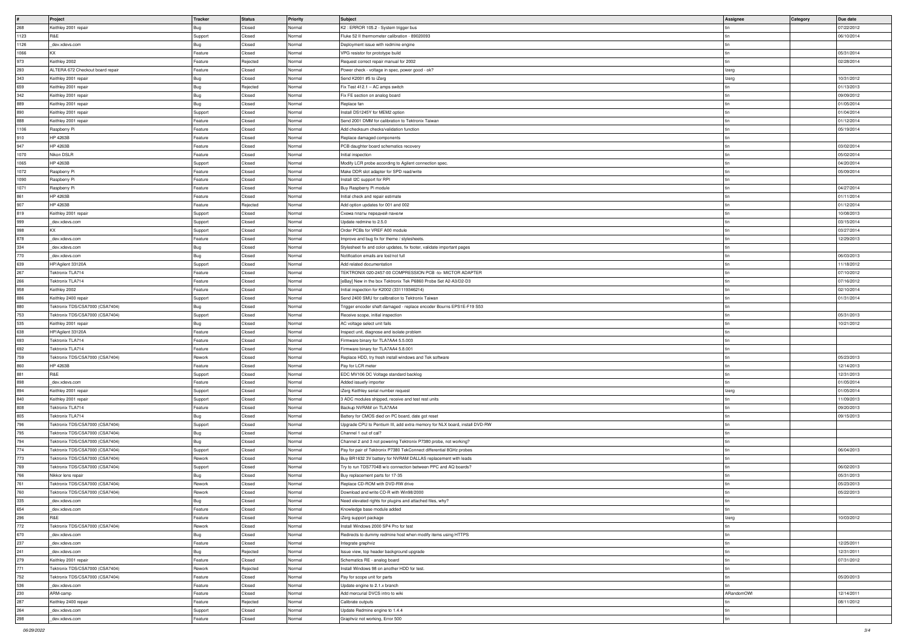|      | <b>Project</b>                   | Tracker    | <b>Status</b> | <b>Priority</b> | Subject                                                                    | <b>Assignee</b> | <b>Category</b> | Due date   |
|------|----------------------------------|------------|---------------|-----------------|----------------------------------------------------------------------------|-----------------|-----------------|------------|
| 268  | Keithley 2001 repair             | Bug        | Closed        | Normal          | K2 : ERROR 105.2 - System trigger bus                                      |                 |                 | 07/22/2012 |
| 1123 | R&E                              | Support    | Closed        | Normal          | Fluke 52 II thermometer calibration - 89020093                             |                 |                 | 06/10/2014 |
| 1126 | dev.xdevs.com                    | Bug        | Closed        | Normal          | Deployment issue with redmine engine                                       |                 |                 |            |
| 1066 | KX                               | Feature    | Closed        | Normal          | VPG resistor for prototype build                                           |                 |                 | 05/31/2014 |
| 973  | Keithley 2002                    | Feature    | Rejected      | Normal          | Request correct repair manual for 2002                                     |                 |                 | 02/28/2014 |
|      |                                  |            |               |                 |                                                                            |                 |                 |            |
| 293  | ALTERA 672 Checkout board repair | Feature    | Closed        | Normal          | Power check - voltage in spec, power good - ok?                            | Izerg           |                 |            |
| 343  | Keithley 2001 repair             | Bug        | Closed        | Normal          | Send K2001 #5 to iZerg                                                     | Izerg           |                 | 10/31/2012 |
| 659  | Keithley 2001 repair             | Bug        | Rejected      | Normal          | Fix Test 412.1 - AC amps switch                                            |                 |                 | 01/13/2013 |
| 342  | Keithley 2001 repair             | Bug        | Closed        | Normal          | Fix FE section on analog board                                             |                 |                 | 09/09/2012 |
| 889  | Keithley 2001 repair             |            | Closed        | Normal          | Replace fan                                                                |                 |                 | 01/05/2014 |
|      |                                  | Bug        |               |                 |                                                                            |                 |                 |            |
| 890  | Keithley 2001 repair             | Support    | Closed        | Normal          | Install DS1245Y for MEM2 option                                            |                 |                 | 01/04/2014 |
| 888  | Keithley 2001 repair             | Feature    | Closed        | Normal          | Send 2001 DMM for calibration to Tektronix Taiwan                          |                 |                 | 01/12/2014 |
| 1106 | Raspberry Pi                     | Feature    | Closed        | Normal          | Add checksum checks/validation function                                    |                 |                 | 05/19/2014 |
| 910  | HP 4263B                         | Feature    | Closed        | Normal          | Replace damaged components                                                 |                 |                 |            |
| 947  | HP 4263B                         | Feature    | Closed        | Normal          | PCB daughter board schematics recovery                                     |                 |                 | 03/02/2014 |
|      |                                  |            |               |                 |                                                                            |                 |                 |            |
| 1070 | Nikon DSLR                       | Feature    | Closed        | Normal          | Initial inspection                                                         |                 |                 | 05/02/2014 |
| 1065 | HP 4263B                         | Support    | Closed        | Normal          | Modify LCR probe according to Agilent connection spec.                     |                 |                 | 04/20/2014 |
| 1072 | Raspberry Pi                     | Feature    | Closed        | Normal          | Make DDR slot adapter for SPD read/write                                   |                 |                 | 05/09/2014 |
| 1090 | Raspberry Pi                     | Feature    | Closed        | Normal          | Install I2C support for RPI                                                |                 |                 |            |
| 1071 | Raspberry Pi                     | Feature    | Closed        | Normal          | Buy Raspberry Pi module                                                    |                 |                 | 04/27/2014 |
|      |                                  |            |               |                 |                                                                            |                 |                 |            |
| 861  | HP 4263B                         | Feature    | Closed        | Normal          | Initial check and repair estimate                                          |                 |                 | 01/11/2014 |
| 907  | HP 4263B                         | Feature    | Rejected      | Normal          | Add option updates for 001 and 002                                         |                 |                 | 01/12/2014 |
| 819  | Keithley 2001 repair             | Support    | Closed        | Normal          | Схема платы передней панели                                                |                 |                 | 10/08/2013 |
| 999  | dev.xdevs.com                    | Support    | Closed        | Normal          | Update redmine to 2.5.0                                                    |                 |                 | 03/15/2014 |
| 998  | KX.                              | Support    | Closed        | Normal          | Order PCBs for VREF A00 module                                             |                 |                 | 03/27/2014 |
|      |                                  |            |               |                 |                                                                            |                 |                 |            |
| 878  | dev.xdevs.com                    | Feature    | Closed        | Normal          | Improve and bug fix for theme / stylesheets.                               |                 |                 | 12/29/2013 |
| 334  | _dev.xdevs.com                   | Bug        | Closed        | Normal          | Stylesheet fix and color updates, fix footer, validate important pages     |                 |                 |            |
| 770  | _dev.xdevs.com                   | Bug        | Closed        | Normal          | Notification emails are lost/not full                                      |                 |                 | 06/03/2013 |
| 639  | HP/Agilent 33120A                | Support    | Closed        | Normal          | Add related documentation                                                  |                 |                 | 11/18/2012 |
| 267  | Tektronix TLA714                 | Feature    | Closed        | Normal          | TEKTRONIX 020-2457-00 COMPRESSION PCB -to- MICTOR ADAPTER                  |                 |                 | 07/10/2012 |
|      |                                  |            |               |                 |                                                                            |                 |                 | 07/16/2012 |
| 266  | Tektronix TLA714                 | Feature    | Closed        | Normal          | [eBay] New in the box Tektronix Tek P6860 Probe Set A2-A3/D2-D3            |                 |                 |            |
| 958  | Keithley 2002                    | Feature    | Closed        | Normal          | Initial inspection for K2002 (331119346214)                                |                 |                 | 02/10/2014 |
| 886  | Keithley 2400 repair             | Support    | Closed        | Normal          | Send 2400 SMU for calibration to Tektronix Taiwan                          |                 |                 | 01/31/2014 |
| 880  | Tektronix TDS/CSA7000 (CSA7404)  | Bug        | Closed        | Normal          | Trigger encoder shaft damaged - replace encoder Bourns EPS1E-F19 S53       |                 |                 |            |
| 753  | Tektronix TDS/CSA7000 (CSA7404)  | Support    | Closed        | Normal          | Receive scope, initial inspection                                          |                 |                 | 05/31/2013 |
|      |                                  |            |               |                 |                                                                            |                 |                 |            |
| 535  | Keithley 2001 repair             | Bug        | Closed        | Normal          | AC voltage select unit fails                                               |                 |                 | 10/21/2012 |
| 638  | HP/Agilent 33120A                | Feature    | Closed        | Normal          | Inspect unit, diagnose and isolate problem                                 |                 |                 |            |
| 693  | Tektronix TLA714                 | Feature    | Closed        | Normal          | Firmware binary for TLA7AA4 5.5.003                                        |                 |                 |            |
| 692  | <b>Tektronix TLA714</b>          | Feature    | Closed        | Normal          | Firmware binary for TLA7AA4 5.8.001                                        |                 |                 |            |
| 759  | Tektronix TDS/CSA7000 (CSA7404)  | Rework     | Closed        | Normal          | Replace HDD, try fresh install windows and Tek software                    |                 |                 | 05/23/2013 |
|      |                                  |            |               |                 |                                                                            |                 |                 |            |
| 860  | HP 4263B                         | Feature    | Closed        | Normal          | Pay for LCR meter                                                          |                 |                 | 12/14/2013 |
| 881  | R&E                              | Support    | Closed        | Normal          | EDC MV106 DC Voltage standard backlog                                      |                 |                 | 12/31/2013 |
| 898  | dev.xdevs.com                    | Feature    | Closed        | Normal          | Added issuefy importer                                                     |                 |                 | 01/05/2014 |
| 894  | Keithley 2001 repair             | Support    | Closed        | Normal          | iZerg Keithley serial number request                                       | Izerg           |                 | 01/05/2014 |
| 840  | Keithley 2001 repair             | Support    | Closed        | Normal          | 3 ADC modules shipped, receive and test rest units                         |                 |                 | 11/09/2013 |
|      | Tektronix TLA714                 |            |               | Normal          | Backup NVRAM on TLA7AA4                                                    |                 |                 | 09/20/2013 |
| 808  |                                  | Feature    | Closed        |                 |                                                                            |                 |                 |            |
| 805  | <b>Tektronix TLA714</b>          | Bug        | Closed        | Normal          | Battery for CMOS died on PC board, date got reset                          |                 |                 | 09/15/2013 |
| 796  | Tektronix TDS/CSA7000 (CSA7404)  | Support    | Closed        | Normal          | Upgrade CPU to Pentium III, add extra memory for NLX board, install DVD-RW |                 |                 |            |
| 795  | Tektronix TDS/CSA7000 (CSA7404)  | Bug        | Closed        | Normal          | Channel 1 out of cal?                                                      |                 |                 |            |
| 794  | Tektronix TDS/CSA7000 (CSA7404)  | <b>Bug</b> | Closed        | Normal          | Channel 2 and 3 not powering Tektronix P7380 probe, not working?           |                 |                 |            |
| 774  | Tektronix TDS/CSA7000 (CSA7404)  | Support    | Closed        | Normal          | Pay for pair of Tektronix P7380 TekConnect differential 8GHz probes        |                 |                 | 06/04/2013 |
|      |                                  |            |               |                 |                                                                            |                 |                 |            |
| 773  | Tektronix TDS/CSA7000 (CSA7404)  | Rework     | Closed        | Normal          | Buy BR1632 3V battery for NVRAM DALLAS replacement with leads              |                 |                 |            |
| 769  | Tektronix TDS/CSA7000 (CSA7404)  | Support    | Closed        | Normal          | Try to run TDS7704B w/o connection between PPC and AQ boards?              |                 |                 | 06/02/2013 |
| 766  | Nikkor lens repair               | Bug        | Closed        | Normal          | Buy replacement parts for 17-35                                            |                 |                 | 05/31/2013 |
| 761  | Tektronix TDS/CSA7000 (CSA7404)  | Rework     | Closed        | Normal          | Replace CD-ROM with DVD-RW drive                                           |                 |                 | 05/23/2013 |
| 760  | Tektronix TDS/CSA7000 (CSA7404)  | Rework     | Closed        | Normal          | Download and write CD-R with Win98/2000                                    |                 |                 | 05/22/2013 |
| 335  | dev.xdevs.com                    | Bug        | Closed        | Normal          | Need elevated rights for plugins and attached files, why?                  |                 |                 |            |
|      |                                  |            |               |                 |                                                                            |                 |                 |            |
| 654  | dev.xdevs.com                    | Feature    | Closed        | Normal          | Knowledge base module added                                                |                 |                 |            |
| 296  | R&E                              | Feature    | Closed        | Normal          | iZerg support package                                                      | Izerg           |                 | 10/03/2012 |
| 772  | Tektronix TDS/CSA7000 (CSA7404)  | Rework     | Closed        | Normal          | Install Windows 2000 SP4 Pro for test                                      |                 |                 |            |
| 670  | dev.xdevs.com                    | Bug        | Closed        | Normal          | Redirects to dummy redmine host when modify items using HTTPS              |                 |                 |            |
| 237  | dev.xdevs.com                    | Feature    | Closed        | Normal          | Integrate graphviz                                                         |                 |                 | 12/25/2011 |
|      |                                  |            |               |                 |                                                                            |                 |                 |            |
| 241  | _dev.xdevs.com                   | Bug        | Rejected      | Normal          | Issue view, top header background upgrade                                  |                 |                 | 12/31/2011 |
| 279  | Keithley 2001 repair             | Feature    | Closed        | Normal          | Schematics RE - analog board                                               |                 |                 | 07/31/2012 |
| 771  | Tektronix TDS/CSA7000 (CSA7404)  | Rework     | Rejected      | Normal          | Install Windows 98 on another HDD for test.                                |                 |                 |            |
| 752  | Tektronix TDS/CSA7000 (CSA7404)  | Feature    | Closed        | Normal          | Pay for scope unit for parts                                               |                 |                 | 05/20/2013 |
| 536  | dev.xdevs.com                    | Feature    | Closed        | Normal          | Update engine to 2.1.x branch                                              |                 |                 |            |
| 230  | ARM-camp                         | Feature    | Closed        | Normal          | Add mercurial DVCS intro to wiki                                           | ARandomOWI      |                 | 12/14/2011 |
|      |                                  |            |               |                 |                                                                            |                 |                 |            |
| 287  | Keithley 2400 repair             | Feature    | Rejected      | Normal          | Calibrate outputs                                                          |                 |                 | 08/11/2012 |
| 264  | dev.xdevs.com                    | Support    | Closed        | Normal          | Update Redmine engine to 1.4.4                                             |                 |                 |            |
| 298  | _dev.xdevs.com                   | Feature    | Closed        | Normal          | Graphviz not working, Error 500                                            |                 |                 |            |
|      |                                  |            |               |                 |                                                                            |                 |                 |            |